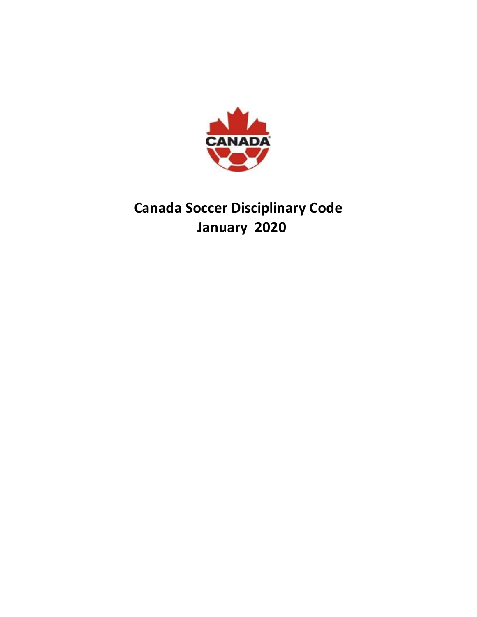

# **Canada Soccer Disciplinary Code January 2020**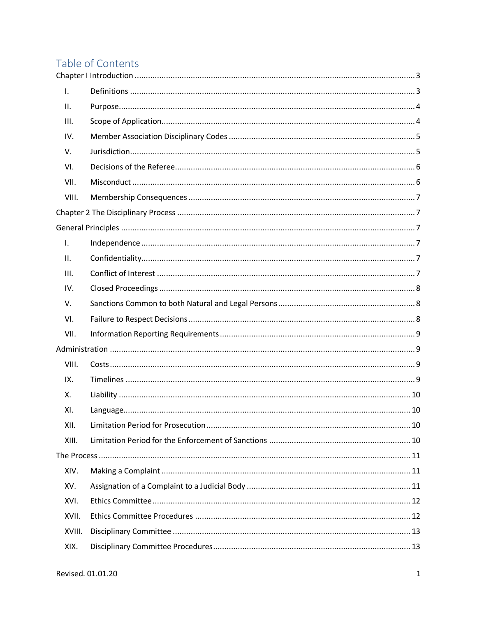## Table of Contents

| Ι.     |  |
|--------|--|
| ΙΙ.    |  |
| III.   |  |
| IV.    |  |
| V.     |  |
| VI.    |  |
| VII.   |  |
| VIII.  |  |
|        |  |
|        |  |
| Ι.     |  |
| ΙΙ.    |  |
| III.   |  |
| IV.    |  |
| V.     |  |
| VI.    |  |
| VII.   |  |
|        |  |
| VIII.  |  |
| IX.    |  |
| Χ.     |  |
| XI.    |  |
| XII.   |  |
| XIII.  |  |
|        |  |
| XIV.   |  |
| XV.    |  |
| XVI.   |  |
| XVII.  |  |
| XVIII. |  |
| XIX.   |  |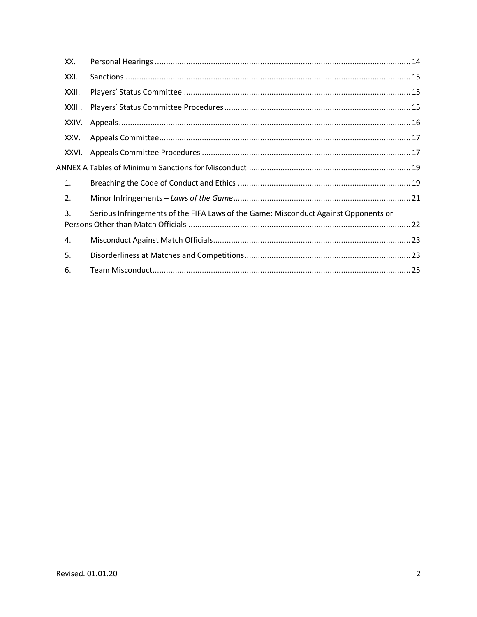<span id="page-2-0"></span>

| XX.              |                                                                                     |  |
|------------------|-------------------------------------------------------------------------------------|--|
| XXI.             |                                                                                     |  |
| XXII.            |                                                                                     |  |
| XXIII.           |                                                                                     |  |
| XXIV.            |                                                                                     |  |
| XXV.             |                                                                                     |  |
| XXVI.            |                                                                                     |  |
|                  |                                                                                     |  |
| 1.               |                                                                                     |  |
| $\overline{2}$ . |                                                                                     |  |
| 3.               | Serious Infringements of the FIFA Laws of the Game: Misconduct Against Opponents or |  |
| 4.               |                                                                                     |  |
| 5.               |                                                                                     |  |
| 6.               |                                                                                     |  |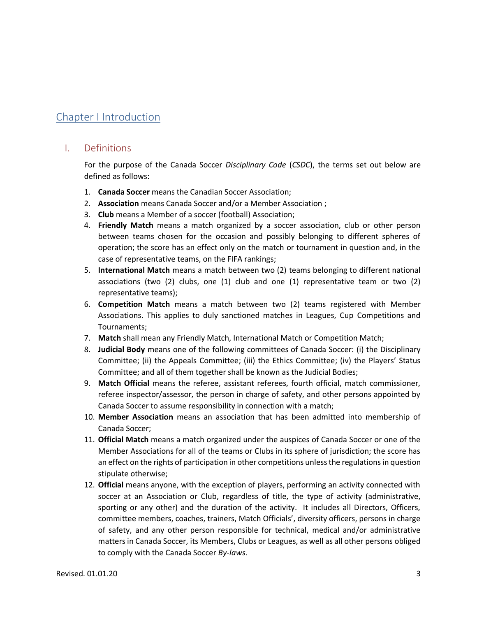### Chapter I Introduction

#### <span id="page-3-0"></span>I. Definitions

For the purpose of the Canada Soccer *Disciplinary Code* (*CSDC*), the terms set out below are defined as follows:

- 1. **Canada Soccer** means the Canadian Soccer Association;
- 2. **Association** means Canada Soccer and/or a Member Association ;
- 3. **Club** means a Member of a soccer (football) Association;
- 4. **Friendly Match** means a match organized by a soccer association, club or other person between teams chosen for the occasion and possibly belonging to different spheres of operation; the score has an effect only on the match or tournament in question and, in the case of representative teams, on the FIFA rankings;
- 5. **International Match** means a match between two (2) teams belonging to different national associations (two  $(2)$  clubs, one  $(1)$  club and one  $(1)$  representative team or two  $(2)$ representative teams);
- 6. **Competition Match** means a match between two (2) teams registered with Member Associations. This applies to duly sanctioned matches in Leagues, Cup Competitions and Tournaments;
- 7. **Match** shall mean any Friendly Match, International Match or Competition Match;
- 8. **Judicial Body** means one of the following committees of Canada Soccer: (i) the Disciplinary Committee; (ii) the Appeals Committee; (iii) the Ethics Committee; (iv) the Players' Status Committee; and all of them together shall be known as the Judicial Bodies;
- 9. **Match Official** means the referee, assistant referees, fourth official, match commissioner, referee inspector/assessor, the person in charge of safety, and other persons appointed by Canada Soccer to assume responsibility in connection with a match;
- 10. **Member Association** means an association that has been admitted into membership of Canada Soccer;
- 11. **Official Match** means a match organized under the auspices of Canada Soccer or one of the Member Associations for all of the teams or Clubs in its sphere of jurisdiction; the score has an effect on the rights of participation in other competitions unless the regulations in question stipulate otherwise;
- 12. **Official** means anyone, with the exception of players, performing an activity connected with soccer at an Association or Club, regardless of title, the type of activity (administrative, sporting or any other) and the duration of the activity. It includes all Directors, Officers, committee members, coaches, trainers, Match Officials', diversity officers, persons in charge of safety, and any other person responsible for technical, medical and/or administrative matters in Canada Soccer, its Members, Clubs or Leagues, as well as all other persons obliged to comply with the Canada Soccer *By-laws*.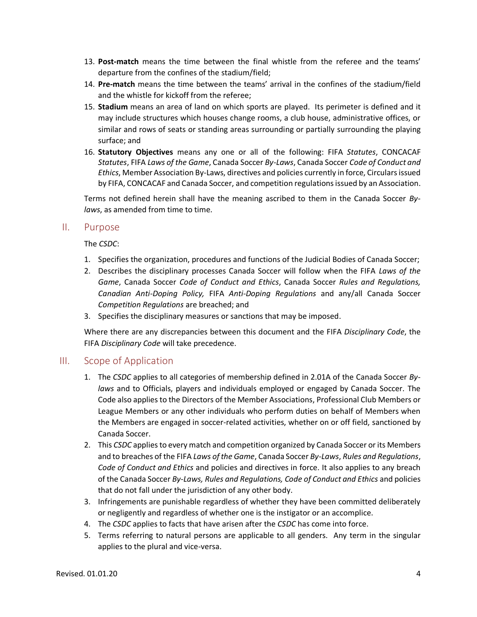- 13. **Post-match** means the time between the final whistle from the referee and the teams' departure from the confines of the stadium/field;
- 14. **Pre-match** means the time between the teams' arrival in the confines of the stadium/field and the whistle for kickoff from the referee;
- 15. **Stadium** means an area of land on which sports are played. Its perimeter is defined and it may include structures which houses change rooms, a club house, administrative offices, or similar and rows of seats or standing areas surrounding or partially surrounding the playing surface; and
- 16. **Statutory Objectives** means any one or all of the following: FIFA *Statutes*, CONCACAF *Statutes*, FIFA *Laws of the Game*, Canada Soccer *By-Laws*, Canada Soccer *Code of Conduct and Ethics*, Member Association By-Laws, directives and policies currently in force, Circulars issued by FIFA, CONCACAF and Canada Soccer, and competition regulations issued by an Association.

Terms not defined herein shall have the meaning ascribed to them in the Canada Soccer *Bylaws*, as amended from time to time*.*

#### <span id="page-4-0"></span>II. Purpose

The *CSDC*:

- 1. Specifies the organization, procedures and functions of the Judicial Bodies of Canada Soccer;
- 2. Describes the disciplinary processes Canada Soccer will follow when the FIFA *Laws of the Game*, Canada Soccer *Code of Conduct and Ethics*, Canada Soccer *Rules and Regulations, Canadian Anti-Doping Policy,* FIFA *Anti-Doping Regulations* and any/all Canada Soccer *Competition Regulations* are breached; and
- 3. Specifies the disciplinary measures or sanctions that may be imposed.

Where there are any discrepancies between this document and the FIFA *Disciplinary Code*, the FIFA *Disciplinary Code* will take precedence.

#### <span id="page-4-1"></span>III. Scope of Application

- 1. The *CSDC* applies to all categories of membership defined in 2.01A of the Canada Soccer *Bylaws* and to Officials, players and individuals employed or engaged by Canada Soccer. The Code also applies to the Directors of the Member Associations, Professional Club Members or League Members or any other individuals who perform duties on behalf of Members when the Members are engaged in soccer-related activities, whether on or off field, sanctioned by Canada Soccer.
- 2. This *CSDC* applies to every match and competition organized by Canada Soccer or its Members and to breaches of the FIFA *Laws of the Game*, Canada Soccer *By-Laws*, *Rules and Regulations*, *Code of Conduct and Ethics* and policies and directives in force. It also applies to any breach of the Canada Soccer *By-Laws, Rules and Regulations, Code of Conduct and Ethics* and policies that do not fall under the jurisdiction of any other body.
- 3. Infringements are punishable regardless of whether they have been committed deliberately or negligently and regardless of whether one is the instigator or an accomplice.
- 4. The *CSDC* applies to facts that have arisen after the *CSDC* has come into force.
- 5. Terms referring to natural persons are applicable to all genders. Any term in the singular applies to the plural and vice-versa.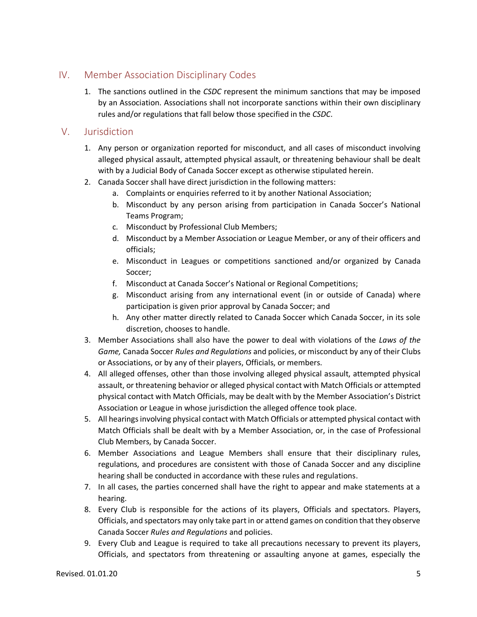### <span id="page-5-0"></span>IV. Member Association Disciplinary Codes

1. The sanctions outlined in the *CSDC* represent the minimum sanctions that may be imposed by an Association. Associations shall not incorporate sanctions within their own disciplinary rules and/or regulations that fall below those specified in the *CSDC*.

### <span id="page-5-1"></span>V. Jurisdiction

- 1. Any person or organization reported for misconduct, and all cases of misconduct involving alleged physical assault, attempted physical assault, or threatening behaviour shall be dealt with by a Judicial Body of Canada Soccer except as otherwise stipulated herein.
- 2. Canada Soccer shall have direct jurisdiction in the following matters:
	- a. Complaints or enquiries referred to it by another National Association;
	- b. Misconduct by any person arising from participation in Canada Soccer's National Teams Program;
	- c. Misconduct by Professional Club Members;
	- d. Misconduct by a Member Association or League Member, or any of their officers and officials;
	- e. Misconduct in Leagues or competitions sanctioned and/or organized by Canada Soccer;
	- f. Misconduct at Canada Soccer's National or Regional Competitions;
	- g. Misconduct arising from any international event (in or outside of Canada) where participation is given prior approval by Canada Soccer; and
	- h. Any other matter directly related to Canada Soccer which Canada Soccer, in its sole discretion, chooses to handle.
- 3. Member Associations shall also have the power to deal with violations of the *Laws of the Game,* Canada Soccer *Rules and Regulations* and policies, or misconduct by any of their Clubs or Associations, or by any of their players, Officials, or members.
- 4. All alleged offenses, other than those involving alleged physical assault, attempted physical assault, or threatening behavior or alleged physical contact with Match Officials or attempted physical contact with Match Officials, may be dealt with by the Member Association's District Association or League in whose jurisdiction the alleged offence took place.
- 5. All hearings involving physical contact with Match Officials or attempted physical contact with Match Officials shall be dealt with by a Member Association, or, in the case of Professional Club Members, by Canada Soccer.
- 6. Member Associations and League Members shall ensure that their disciplinary rules, regulations, and procedures are consistent with those of Canada Soccer and any discipline hearing shall be conducted in accordance with these rules and regulations.
- 7. In all cases, the parties concerned shall have the right to appear and make statements at a hearing.
- 8. Every Club is responsible for the actions of its players, Officials and spectators. Players, Officials, and spectators may only take part in or attend games on condition that they observe Canada Soccer *Rules and Regulations* and policies.
- 9. Every Club and League is required to take all precautions necessary to prevent its players, Officials, and spectators from threatening or assaulting anyone at games, especially the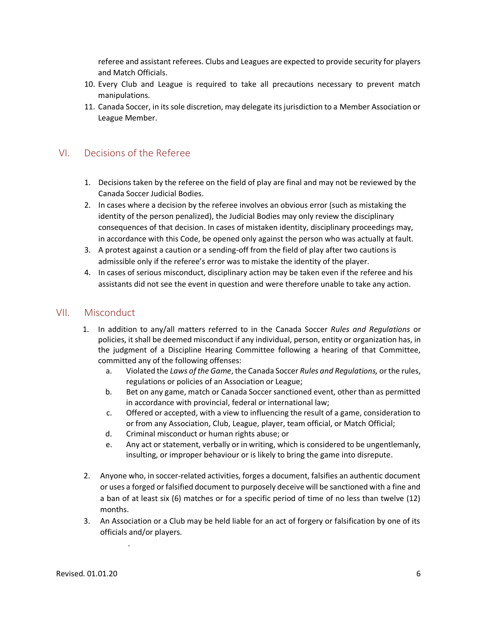referee and assistant referees. Clubs and Leagues are expected to provide security for players and Match Officials.

- 10. Every Club and League is required to take all precautions necessary to prevent match manipulations.
- 11. Canada Soccer, in its sole discretion, may delegate its jurisdiction to a Member Association or League Member.

#### <span id="page-6-0"></span>VI. Decisions of the Referee

- 1. Decisions taken by the referee on the field of play are final and may not be reviewed by the Canada Soccer Judicial Bodies.
- 2. In cases where a decision by the referee involves an obvious error (such as mistaking the identity of the person penalized), the Judicial Bodies may only review the disciplinary consequences of that decision. In cases of mistaken identity, disciplinary proceedings may, in accordance with this Code, be opened only against the person who was actually at fault.
- 3. A protest against a caution or a sending-off from the field of play after two cautions is admissible only if the referee's error was to mistake the identity of the player.
- 4. In cases of serious misconduct, disciplinary action may be taken even if the referee and his assistants did not see the event in question and were therefore unable to take any action.

#### <span id="page-6-1"></span>VII. Misconduct

- 1. In addition to any/all matters referred to in the Canada Soccer *Rules and Regulations* or policies, it shall be deemed misconduct if any individual, person, entity or organization has, in the judgment of a Discipline Hearing Committee following a hearing of that Committee, committed any of the following offenses:
	- a. Violated the *Laws of the Game*, the Canada Soccer *Rules and Regulations,* or the rules, regulations or policies of an Association or League;
	- b. Bet on any game, match or Canada Soccer sanctioned event, other than as permitted in accordance with provincial, federal or international law;
	- c. Offered or accepted, with a view to influencing the result of a game, consideration to or from any Association, Club, League, player, team official, or Match Official;
	- d. Criminal misconduct or human rights abuse; or
	- e. Any act or statement, verbally or in writing, which is considered to be ungentlemanly, insulting, or improper behaviour or is likely to bring the game into disrepute.
- 2. Anyone who, in soccer-related activities, forges a document, falsifies an authentic document or uses a forged or falsified document to purposely deceive will be sanctioned with a fine and a ban of at least six (6) matches or for a specific period of time of no less than twelve (12) months.
- 3. An Association or a Club may be held liable for an act of forgery or falsification by one of its officials and/or players.

.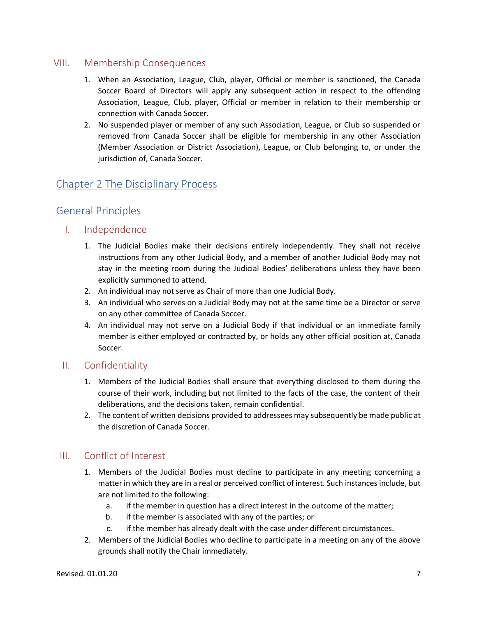### <span id="page-7-0"></span>VIII. Membership Consequences

- 1. When an Association, League, Club, player, Official or member is sanctioned, the Canada Soccer Board of Directors will apply any subsequent action in respect to the offending Association, League, Club, player, Official or member in relation to their membership or connection with Canada Soccer.
- 2. No suspended player or member of any such Association, League, or Club so suspended or removed from Canada Soccer shall be eligible for membership in any other Association (Member Association or District Association), League, or Club belonging to, or under the jurisdiction of, Canada Soccer.

### <span id="page-7-2"></span><span id="page-7-1"></span>Chapter 2 The Disciplinary Process

### General Principles

### <span id="page-7-3"></span>I. Independence

- 1. The Judicial Bodies make their decisions entirely independently. They shall not receive instructions from any other Judicial Body, and a member of another Judicial Body may not stay in the meeting room during the Judicial Bodies' deliberations unless they have been explicitly summoned to attend.
- 2. An individual may not serve as Chair of more than one Judicial Body.
- 3. An individual who serves on a Judicial Body may not at the same time be a Director or serve on any other committee of Canada Soccer.
- 4. An individual may not serve on a Judicial Body if that individual or an immediate family member is either employed or contracted by, or holds any other official position at, Canada Soccer.

### <span id="page-7-4"></span>II. Confidentiality

- 1. Members of the Judicial Bodies shall ensure that everything disclosed to them during the course of their work, including but not limited to the facts of the case, the content of their deliberations, and the decisions taken, remain confidential.
- 2. The content of written decisions provided to addressees may subsequently be made public at the discretion of Canada Soccer.

### <span id="page-7-5"></span>III. Conflict of Interest

- 1. Members of the Judicial Bodies must decline to participate in any meeting concerning a matter in which they are in a real or perceived conflict of interest. Such instances include, but are not limited to the following:
	- a. if the member in question has a direct interest in the outcome of the matter;
	- b. if the member is associated with any of the parties; or
	- c. if the member has already dealt with the case under different circumstances.
- 2. Members of the Judicial Bodies who decline to participate in a meeting on any of the above grounds shall notify the Chair immediately.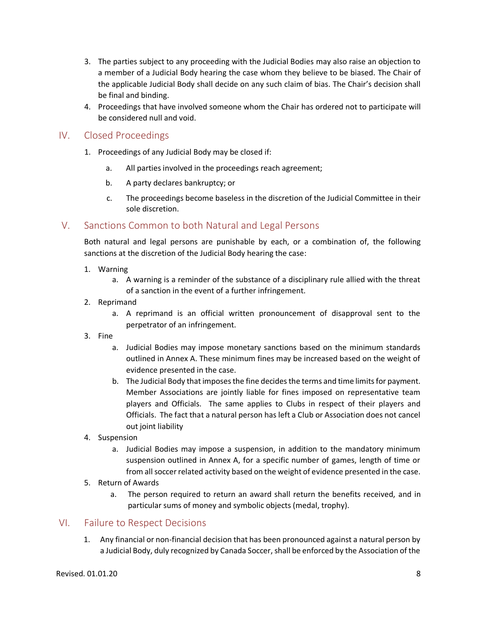- 3. The parties subject to any proceeding with the Judicial Bodies may also raise an objection to a member of a Judicial Body hearing the case whom they believe to be biased. The Chair of the applicable Judicial Body shall decide on any such claim of bias. The Chair's decision shall be final and binding.
- 4. Proceedings that have involved someone whom the Chair has ordered not to participate will be considered null and void.

### <span id="page-8-0"></span>IV. Closed Proceedings

- 1. Proceedings of any Judicial Body may be closed if:
	- a. All parties involved in the proceedings reach agreement;
	- b. A party declares bankruptcy; or
	- c. The proceedings become baseless in the discretion of the Judicial Committee in their sole discretion.

### <span id="page-8-1"></span>V. Sanctions Common to both Natural and Legal Persons

Both natural and legal persons are punishable by each, or a combination of, the following sanctions at the discretion of the Judicial Body hearing the case:

- 1. Warning
	- a. A warning is a reminder of the substance of a disciplinary rule allied with the threat of a sanction in the event of a further infringement.
- 2. Reprimand
	- a. A reprimand is an official written pronouncement of disapproval sent to the perpetrator of an infringement.
- 3. Fine
	- a. Judicial Bodies may impose monetary sanctions based on the minimum standards outlined in Annex A. These minimum fines may be increased based on the weight of evidence presented in the case.
	- b. The Judicial Body that imposes the fine decides the terms and time limits for payment. Member Associations are jointly liable for fines imposed on representative team players and Officials. The same applies to Clubs in respect of their players and Officials. The fact that a natural person has left a Club or Association does not cancel out joint liability
- 4. Suspension
	- a. Judicial Bodies may impose a suspension, in addition to the mandatory minimum suspension outlined in Annex A, for a specific number of games, length of time or from all soccer related activity based on the weight of evidence presented in the case.
- 5. Return of Awards
	- a. The person required to return an award shall return the benefits received, and in particular sums of money and symbolic objects (medal, trophy).

### <span id="page-8-2"></span>VI. Failure to Respect Decisions

1. Any financial or non-financial decision that has been pronounced against a natural person by a Judicial Body, duly recognized by Canada Soccer, shall be enforced by the Association of the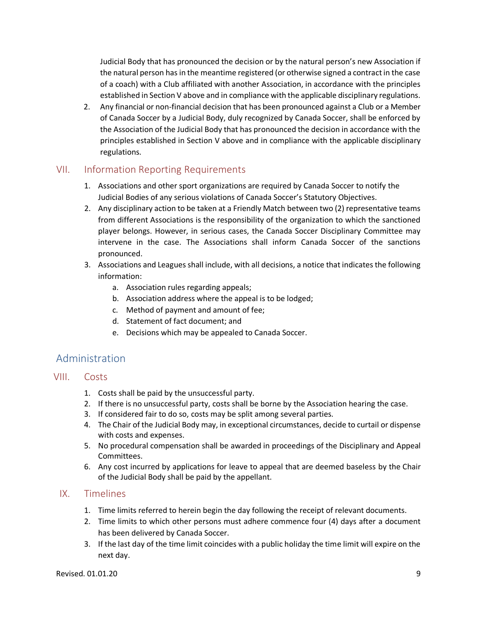Judicial Body that has pronounced the decision or by the natural person's new Association if the natural person has in the meantime registered (or otherwise signed a contract in the case of a coach) with a Club affiliated with another Association, in accordance with the principles established in Section V above and in compliance with the applicable disciplinary regulations.

2. Any financial or non-financial decision that has been pronounced against a Club or a Member of Canada Soccer by a Judicial Body, duly recognized by Canada Soccer, shall be enforced by the Association of the Judicial Body that has pronounced the decision in accordance with the principles established in Section V above and in compliance with the applicable disciplinary regulations.

### <span id="page-9-0"></span>VII. Information Reporting Requirements

- 1. Associations and other sport organizations are required by Canada Soccer to notify the Judicial Bodies of any serious violations of Canada Soccer's Statutory Objectives.
- 2. Any disciplinary action to be taken at a Friendly Match between two (2) representative teams from different Associations is the responsibility of the organization to which the sanctioned player belongs. However, in serious cases, the Canada Soccer Disciplinary Committee may intervene in the case. The Associations shall inform Canada Soccer of the sanctions pronounced.
- 3. Associations and Leagues shall include, with all decisions, a notice that indicates the following information:
	- a. Association rules regarding appeals;
	- b. Association address where the appeal is to be lodged;
	- c. Method of payment and amount of fee;
	- d. Statement of fact document; and
	- e. Decisions which may be appealed to Canada Soccer.

### <span id="page-9-1"></span>Administration

- <span id="page-9-2"></span>VIII. Costs
	- 1. Costs shall be paid by the unsuccessful party.
	- 2. If there is no unsuccessful party, costs shall be borne by the Association hearing the case.
	- 3. If considered fair to do so, costs may be split among several parties.
	- 4. The Chair of the Judicial Body may, in exceptional circumstances, decide to curtail or dispense with costs and expenses.
	- 5. No procedural compensation shall be awarded in proceedings of the Disciplinary and Appeal Committees.
	- 6. Any cost incurred by applications for leave to appeal that are deemed baseless by the Chair of the Judicial Body shall be paid by the appellant.

### <span id="page-9-3"></span>IX. Timelines

- 1. Time limits referred to herein begin the day following the receipt of relevant documents.
- 2. Time limits to which other persons must adhere commence four (4) days after a document has been delivered by Canada Soccer.
- 3. If the last day of the time limit coincides with a public holiday the time limit will expire on the next day.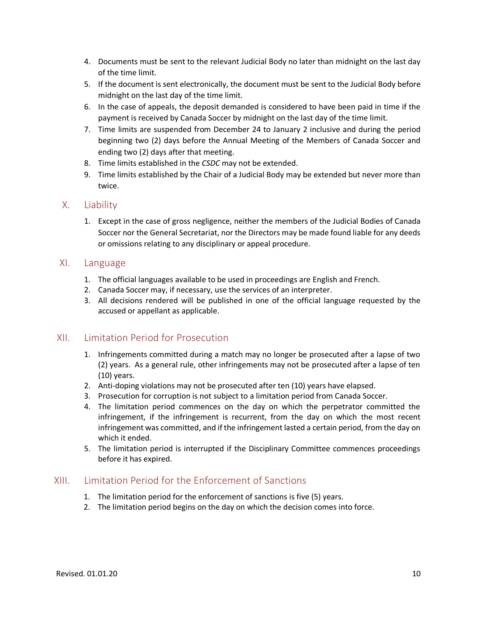- 4. Documents must be sent to the relevant Judicial Body no later than midnight on the last day of the time limit.
- 5. If the document is sent electronically, the document must be sent to the Judicial Body before midnight on the last day of the time limit.
- 6. In the case of appeals, the deposit demanded is considered to have been paid in time if the payment is received by Canada Soccer by midnight on the last day of the time limit.
- 7. Time limits are suspended from December 24 to January 2 inclusive and during the period beginning two (2) days before the Annual Meeting of the Members of Canada Soccer and ending two (2) days after that meeting.
- 8. Time limits established in the *CSDC* may not be extended.
- 9. Time limits established by the Chair of a Judicial Body may be extended but never more than twice.

#### <span id="page-10-0"></span>X. Liability

1. Except in the case of gross negligence, neither the members of the Judicial Bodies of Canada Soccer nor the General Secretariat, nor the Directors may be made found liable for any deeds or omissions relating to any disciplinary or appeal procedure.

#### <span id="page-10-1"></span>XI. Language

- 1. The official languages available to be used in proceedings are English and French.
- 2. Canada Soccer may, if necessary, use the services of an interpreter.
- 3. All decisions rendered will be published in one of the official language requested by the accused or appellant as applicable.

### <span id="page-10-2"></span>XII. Limitation Period for Prosecution

- 1. Infringements committed during a match may no longer be prosecuted after a lapse of two (2) years. As a general rule, other infringements may not be prosecuted after a lapse of ten (10) years.
- 2. Anti-doping violations may not be prosecuted after ten (10) years have elapsed.
- 3. Prosecution for corruption is not subject to a limitation period from Canada Soccer.
- 4. The limitation period commences on the day on which the perpetrator committed the infringement, if the infringement is recurrent, from the day on which the most recent infringement was committed, and if the infringement lasted a certain period, from the day on which it ended.
- 5. The limitation period is interrupted if the Disciplinary Committee commences proceedings before it has expired.

### <span id="page-10-3"></span>XIII. Limitation Period for the Enforcement of Sanctions

- 1. The limitation period for the enforcement of sanctions is five (5) years.
- 2. The limitation period begins on the day on which the decision comes into force.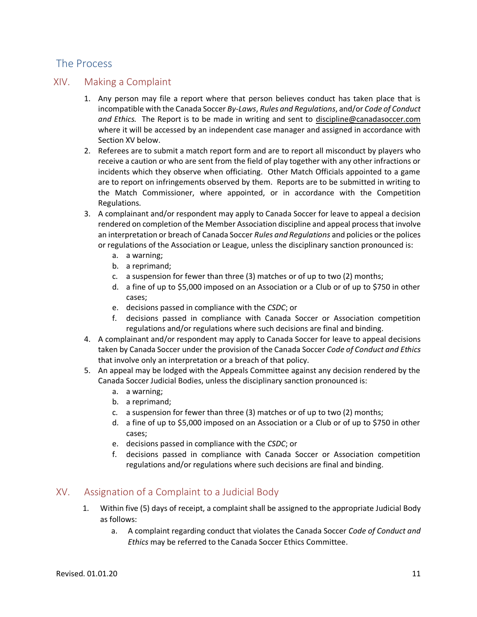### <span id="page-11-0"></span>The Process

### <span id="page-11-1"></span>XIV. Making a Complaint

- 1. Any person may file a report where that person believes conduct has taken place that is incompatible with the Canada Soccer *By-Laws*, *Rules and Regulations*, and/or *Code of Conduct and Ethics.* The Report is to be made in writing and sent to [discipline@canadasoccer.com](mailto:discipline@canadasoccer.com) where it will be accessed by an independent case manager and assigned in accordance with Section XV below.
- 2. Referees are to submit a match report form and are to report all misconduct by players who receive a caution or who are sent from the field of play together with any other infractions or incidents which they observe when officiating. Other Match Officials appointed to a game are to report on infringements observed by them. Reports are to be submitted in writing to the Match Commissioner, where appointed, or in accordance with the Competition Regulations.
- 3. A complainant and/or respondent may apply to Canada Soccer for leave to appeal a decision rendered on completion of the Member Association discipline and appeal processthat involve an interpretation or breach of Canada Soccer *Rules and Regulations* and policies or the polices or regulations of the Association or League, unless the disciplinary sanction pronounced is:
	- a. a warning;
	- b. a reprimand;
	- c. a suspension for fewer than three (3) matches or of up to two (2) months;
	- d. a fine of up to \$5,000 imposed on an Association or a Club or of up to \$750 in other cases;
	- e. decisions passed in compliance with the *CSDC*; or
	- f. decisions passed in compliance with Canada Soccer or Association competition regulations and/or regulations where such decisions are final and binding.
- 4. A complainant and/or respondent may apply to Canada Soccer for leave to appeal decisions taken by Canada Soccer under the provision of the Canada Soccer *Code of Conduct and Ethics* that involve only an interpretation or a breach of that policy.
- 5. An appeal may be lodged with the Appeals Committee against any decision rendered by the Canada Soccer Judicial Bodies, unless the disciplinary sanction pronounced is:
	- a. a warning;
	- b. a reprimand;
	- c. a suspension for fewer than three (3) matches or of up to two (2) months;
	- d. a fine of up to \$5,000 imposed on an Association or a Club or of up to \$750 in other cases;
	- e. decisions passed in compliance with the *CSDC*; or
	- f. decisions passed in compliance with Canada Soccer or Association competition regulations and/or regulations where such decisions are final and binding.

### <span id="page-11-2"></span>XV. Assignation of a Complaint to a Judicial Body

- 1. Within five (5) days of receipt, a complaint shall be assigned to the appropriate Judicial Body as follows:
	- a. A complaint regarding conduct that violates the Canada Soccer *Code of Conduct and Ethics* may be referred to the Canada Soccer Ethics Committee.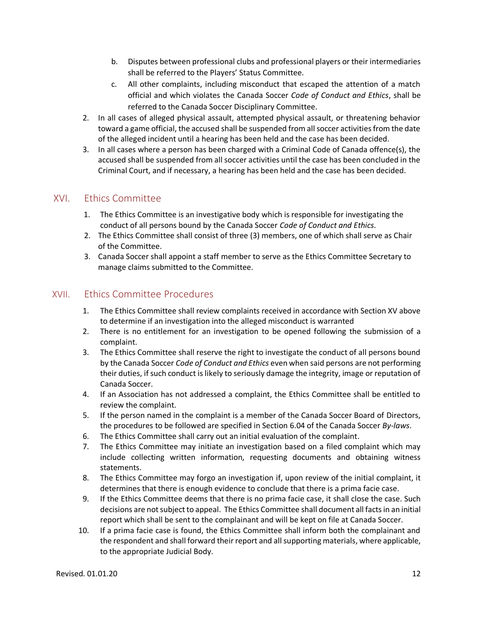- b. Disputes between professional clubs and professional players or their intermediaries shall be referred to the Players' Status Committee.
- c. All other complaints, including misconduct that escaped the attention of a match official and which violates the Canada Soccer *Code of Conduct and Ethics*, shall be referred to the Canada Soccer Disciplinary Committee.
- 2. In all cases of alleged physical assault, attempted physical assault, or threatening behavior toward a game official, the accused shall be suspended from all soccer activities from the date of the alleged incident until a hearing has been held and the case has been decided.
- 3. In all cases where a person has been charged with a Criminal Code of Canada offence(s), the accused shall be suspended from all soccer activities until the case has been concluded in the Criminal Court, and if necessary, a hearing has been held and the case has been decided.

### <span id="page-12-0"></span>XVI. Ethics Committee

- 1. The Ethics Committee is an investigative body which is responsible for investigating the conduct of all persons bound by the Canada Soccer *Code of Conduct and Ethics.*
- 2. The Ethics Committee shall consist of three (3) members, one of which shall serve as Chair of the Committee.
- 3. Canada Soccer shall appoint a staff member to serve as the Ethics Committee Secretary to manage claims submitted to the Committee.

### <span id="page-12-1"></span>XVII. Ethics Committee Procedures

- 1. The Ethics Committee shall review complaints received in accordance with Section XV above to determine if an investigation into the alleged misconduct is warranted
- 2. There is no entitlement for an investigation to be opened following the submission of a complaint.
- 3. The Ethics Committee shall reserve the right to investigate the conduct of all persons bound by the Canada Soccer *Code of Conduct and Ethics* even when said persons are not performing their duties, if such conduct is likely to seriously damage the integrity, image or reputation of Canada Soccer.
- 4. If an Association has not addressed a complaint, the Ethics Committee shall be entitled to review the complaint.
- 5. If the person named in the complaint is a member of the Canada Soccer Board of Directors, the procedures to be followed are specified in Section 6.04 of the Canada Soccer *By-laws*.
- 6. The Ethics Committee shall carry out an initial evaluation of the complaint.
- 7. The Ethics Committee may initiate an investigation based on a filed complaint which may include collecting written information, requesting documents and obtaining witness statements.
- 8. The Ethics Committee may forgo an investigation if, upon review of the initial complaint, it determines that there is enough evidence to conclude that there is a prima facie case.
- 9. If the Ethics Committee deems that there is no prima facie case, it shall close the case. Such decisions are not subject to appeal. The Ethics Committee shall document all facts in an initial report which shall be sent to the complainant and will be kept on file at Canada Soccer.
- 10. If a prima facie case is found, the Ethics Committee shall inform both the complainant and the respondent and shall forward their report and all supporting materials, where applicable, to the appropriate Judicial Body.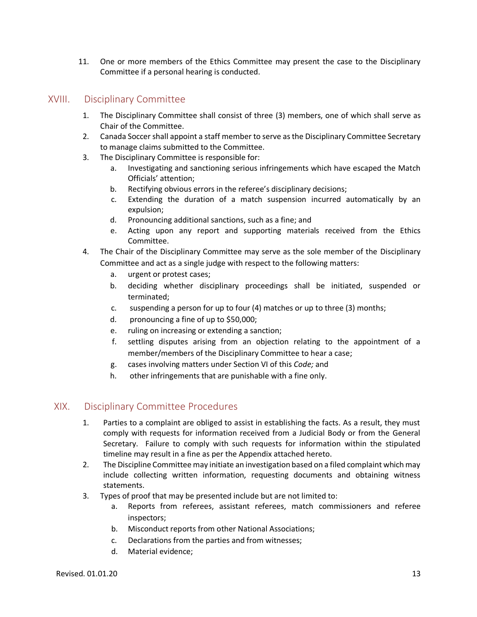11. One or more members of the Ethics Committee may present the case to the Disciplinary Committee if a personal hearing is conducted.

### <span id="page-13-0"></span>XVIII. Disciplinary Committee

- 1. The Disciplinary Committee shall consist of three (3) members, one of which shall serve as Chair of the Committee.
- 2. Canada Soccer shall appoint a staff member to serve as the Disciplinary Committee Secretary to manage claims submitted to the Committee.
- 3. The Disciplinary Committee is responsible for:
	- a. Investigating and sanctioning serious infringements which have escaped the Match Officials' attention;
	- b. Rectifying obvious errors in the referee's disciplinary decisions;
	- c. Extending the duration of a match suspension incurred automatically by an expulsion;
	- d. Pronouncing additional sanctions, such as a fine; and
	- e. Acting upon any report and supporting materials received from the Ethics Committee.
- 4. The Chair of the Disciplinary Committee may serve as the sole member of the Disciplinary Committee and act as a single judge with respect to the following matters:
	- a. urgent or protest cases;
	- b. deciding whether disciplinary proceedings shall be initiated, suspended or terminated;
	- c. suspending a person for up to four (4) matches or up to three (3) months;
	- d. pronouncing a fine of up to \$50,000;
	- e. ruling on increasing or extending a sanction;
	- f. settling disputes arising from an objection relating to the appointment of a member/members of the Disciplinary Committee to hear a case;
	- g. cases involving matters under Section VI of this *Code;* and
	- h. other infringements that are punishable with a fine only.

### <span id="page-13-1"></span>XIX. Disciplinary Committee Procedures

- 1. Parties to a complaint are obliged to assist in establishing the facts. As a result, they must comply with requests for information received from a Judicial Body or from the General Secretary. Failure to comply with such requests for information within the stipulated timeline may result in a fine as per the Appendix attached hereto.
- 2. The Discipline Committee may initiate an investigation based on a filed complaint which may include collecting written information, requesting documents and obtaining witness statements.
- 3. Types of proof that may be presented include but are not limited to:
	- a. Reports from referees, assistant referees, match commissioners and referee inspectors;
	- b. Misconduct reports from other National Associations;
	- c. Declarations from the parties and from witnesses;
	- d. Material evidence;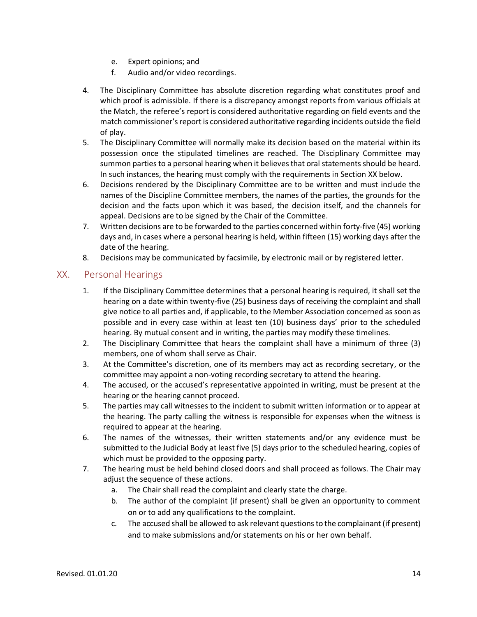- e. Expert opinions; and
- f. Audio and/or video recordings.
- 4. The Disciplinary Committee has absolute discretion regarding what constitutes proof and which proof is admissible. If there is a discrepancy amongst reports from various officials at the Match, the referee's report is considered authoritative regarding on field events and the match commissioner's report is considered authoritative regarding incidents outside the field of play.
- 5. The Disciplinary Committee will normally make its decision based on the material within its possession once the stipulated timelines are reached. The Disciplinary Committee may summon parties to a personal hearing when it believesthat oral statements should be heard. In such instances, the hearing must comply with the requirements in Section XX below.
- 6. Decisions rendered by the Disciplinary Committee are to be written and must include the names of the Discipline Committee members, the names of the parties, the grounds for the decision and the facts upon which it was based, the decision itself, and the channels for appeal. Decisions are to be signed by the Chair of the Committee.
- 7. Written decisions are to be forwarded to the parties concerned within forty-five (45) working days and, in cases where a personal hearing is held, within fifteen (15) working days after the date of the hearing.
- 8. Decisions may be communicated by facsimile, by electronic mail or by registered letter.

### <span id="page-14-0"></span>XX. Personal Hearings

- 1. If the Disciplinary Committee determines that a personal hearing is required, it shall set the hearing on a date within twenty-five (25) business days of receiving the complaint and shall give notice to all parties and, if applicable, to the Member Association concerned as soon as possible and in every case within at least ten (10) business days' prior to the scheduled hearing. By mutual consent and in writing, the parties may modify these timelines.
- 2. The Disciplinary Committee that hears the complaint shall have a minimum of three (3) members, one of whom shall serve as Chair.
- 3. At the Committee's discretion, one of its members may act as recording secretary, or the committee may appoint a non-voting recording secretary to attend the hearing.
- 4. The accused, or the accused's representative appointed in writing, must be present at the hearing or the hearing cannot proceed.
- 5. The parties may call witnesses to the incident to submit written information or to appear at the hearing. The party calling the witness is responsible for expenses when the witness is required to appear at the hearing.
- 6. The names of the witnesses, their written statements and/or any evidence must be submitted to the Judicial Body at least five (5) days prior to the scheduled hearing, copies of which must be provided to the opposing party.
- 7. The hearing must be held behind closed doors and shall proceed as follows. The Chair may adjust the sequence of these actions.
	- a. The Chair shall read the complaint and clearly state the charge.
	- b. The author of the complaint (if present) shall be given an opportunity to comment on or to add any qualifications to the complaint.
	- c. The accused shall be allowed to ask relevant questions to the complainant (if present) and to make submissions and/or statements on his or her own behalf.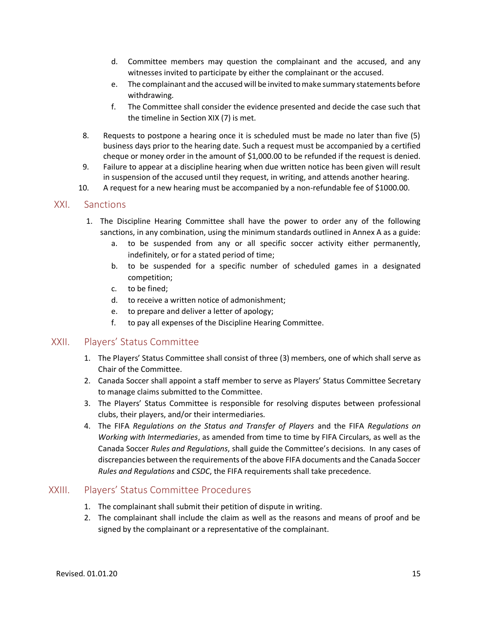- d. Committee members may question the complainant and the accused, and any witnesses invited to participate by either the complainant or the accused.
- e. The complainant and the accused will be invited to make summary statements before withdrawing.
- f. The Committee shall consider the evidence presented and decide the case such that the timeline in Section XIX (7) is met.
- 8. Requests to postpone a hearing once it is scheduled must be made no later than five (5) business days prior to the hearing date. Such a request must be accompanied by a certified cheque or money order in the amount of \$1,000.00 to be refunded if the request is denied.
- 9. Failure to appear at a discipline hearing when due written notice has been given will result in suspension of the accused until they request, in writing, and attends another hearing.
- 10. A request for a new hearing must be accompanied by a non-refundable fee of \$1000.00.

#### <span id="page-15-0"></span>XXI. Sanctions

- 1. The Discipline Hearing Committee shall have the power to order any of the following sanctions, in any combination, using the minimum standards outlined in Annex A as a guide:
	- a. to be suspended from any or all specific soccer activity either permanently, indefinitely, or for a stated period of time;
	- b. to be suspended for a specific number of scheduled games in a designated competition;
	- c. to be fined;
	- d. to receive a written notice of admonishment;
	- e. to prepare and deliver a letter of apology;
	- f. to pay all expenses of the Discipline Hearing Committee.

### <span id="page-15-1"></span>XXII. Players' Status Committee

- 1. The Players' Status Committee shall consist of three (3) members, one of which shall serve as Chair of the Committee.
- 2. Canada Soccer shall appoint a staff member to serve as Players' Status Committee Secretary to manage claims submitted to the Committee.
- 3. The Players' Status Committee is responsible for resolving disputes between professional clubs, their players, and/or their intermediaries.
- 4. The FIFA *Regulations on the Status and Transfer of Players* and the FIFA *Regulations on Working with Intermediaries*, as amended from time to time by FIFA Circulars, as well as the Canada Soccer *Rules and Regulations*, shall guide the Committee's decisions. In any cases of discrepancies between the requirements of the above FIFA documents and the Canada Soccer *Rules and Regulations* and *CSDC*, the FIFA requirements shall take precedence.

#### <span id="page-15-2"></span>XXIII. Players' Status Committee Procedures

- 1. The complainant shall submit their petition of dispute in writing.
- 2. The complainant shall include the claim as well as the reasons and means of proof and be signed by the complainant or a representative of the complainant.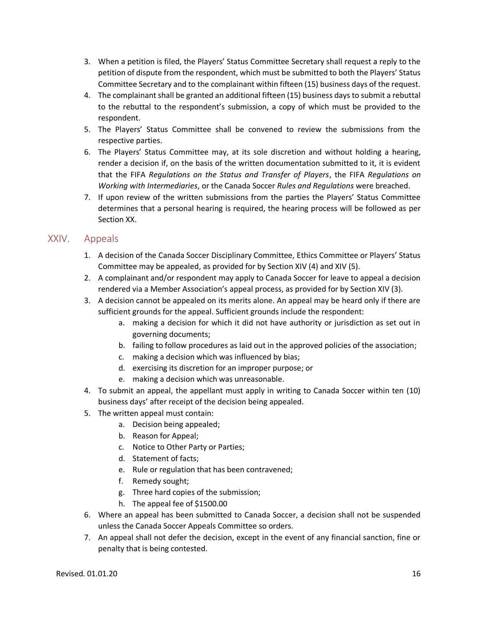- 3. When a petition is filed, the Players' Status Committee Secretary shall request a reply to the petition of dispute from the respondent, which must be submitted to both the Players' Status Committee Secretary and to the complainant within fifteen (15) business days of the request.
- 4. The complainant shall be granted an additional fifteen (15) business days to submit a rebuttal to the rebuttal to the respondent's submission, a copy of which must be provided to the respondent.
- 5. The Players' Status Committee shall be convened to review the submissions from the respective parties.
- 6. The Players' Status Committee may, at its sole discretion and without holding a hearing, render a decision if, on the basis of the written documentation submitted to it, it is evident that the FIFA *Regulations on the Status and Transfer of Players*, the FIFA *Regulations on Working with Intermediaries*, or the Canada Soccer *Rules and Regulations* were breached.
- 7. If upon review of the written submissions from the parties the Players' Status Committee determines that a personal hearing is required, the hearing process will be followed as per Section XX.

### <span id="page-16-0"></span>XXIV. Appeals

- 1. A decision of the Canada Soccer Disciplinary Committee, Ethics Committee or Players' Status Committee may be appealed, as provided for by Section XIV (4) and XIV (5).
- 2. A complainant and/or respondent may apply to Canada Soccer for leave to appeal a decision rendered via a Member Association's appeal process, as provided for by Section XIV (3).
- 3. A decision cannot be appealed on its merits alone. An appeal may be heard only if there are sufficient grounds for the appeal. Sufficient grounds include the respondent:
	- a. making a decision for which it did not have authority or jurisdiction as set out in governing documents;
	- b. failing to follow procedures as laid out in the approved policies of the association;
	- c. making a decision which was influenced by bias;
	- d. exercising its discretion for an improper purpose; or
	- e. making a decision which was unreasonable.
- 4. To submit an appeal, the appellant must apply in writing to Canada Soccer within ten (10) business days' after receipt of the decision being appealed.
- 5. The written appeal must contain:
	- a. Decision being appealed;
	- b. Reason for Appeal;
	- c. Notice to Other Party or Parties;
	- d. Statement of facts;
	- e. Rule or regulation that has been contravened;
	- f. Remedy sought;
	- g. Three hard copies of the submission;
	- h. The appeal fee of \$1500.00
- 6. Where an appeal has been submitted to Canada Soccer, a decision shall not be suspended unless the Canada Soccer Appeals Committee so orders.
- 7. An appeal shall not defer the decision, except in the event of any financial sanction, fine or penalty that is being contested.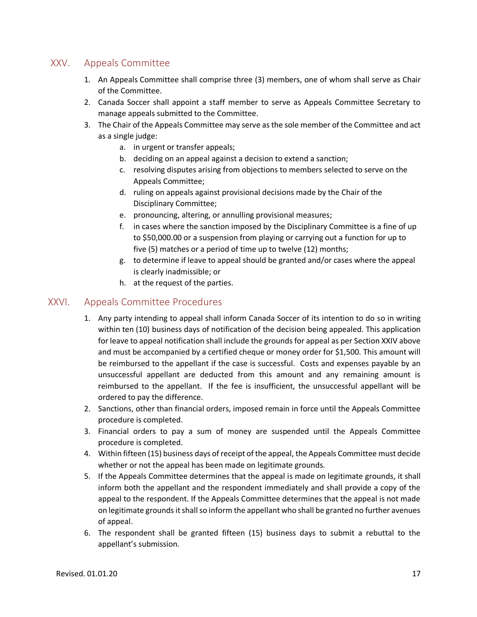### <span id="page-17-0"></span>XXV. Appeals Committee

- 1. An Appeals Committee shall comprise three (3) members, one of whom shall serve as Chair of the Committee.
- 2. Canada Soccer shall appoint a staff member to serve as Appeals Committee Secretary to manage appeals submitted to the Committee.
- 3. The Chair of the Appeals Committee may serve as the sole member of the Committee and act as a single judge:
	- a. in urgent or transfer appeals;
	- b. deciding on an appeal against a decision to extend a sanction;
	- c. resolving disputes arising from objections to members selected to serve on the Appeals Committee;
	- d. ruling on appeals against provisional decisions made by the Chair of the Disciplinary Committee;
	- e. pronouncing, altering, or annulling provisional measures;
	- f. in cases where the sanction imposed by the Disciplinary Committee is a fine of up to \$50,000.00 or a suspension from playing or carrying out a function for up to five (5) matches or a period of time up to twelve (12) months;
	- g. to determine if leave to appeal should be granted and/or cases where the appeal is clearly inadmissible; or
	- h. at the request of the parties.

### <span id="page-17-1"></span>XXVI. Appeals Committee Procedures

- 1. Any party intending to appeal shall inform Canada Soccer of its intention to do so in writing within ten (10) business days of notification of the decision being appealed. This application for leave to appeal notification shall include the grounds for appeal as per Section XXIV above and must be accompanied by a certified cheque or money order for \$1,500. This amount will be reimbursed to the appellant if the case is successful. Costs and expenses payable by an unsuccessful appellant are deducted from this amount and any remaining amount is reimbursed to the appellant. If the fee is insufficient, the unsuccessful appellant will be ordered to pay the difference.
- 2. Sanctions, other than financial orders, imposed remain in force until the Appeals Committee procedure is completed.
- 3. Financial orders to pay a sum of money are suspended until the Appeals Committee procedure is completed.
- 4. Within fifteen (15) business days of receipt of the appeal, the Appeals Committee must decide whether or not the appeal has been made on legitimate grounds.
- 5. If the Appeals Committee determines that the appeal is made on legitimate grounds, it shall inform both the appellant and the respondent immediately and shall provide a copy of the appeal to the respondent. If the Appeals Committee determines that the appeal is not made on legitimate grounds it shall so inform the appellant who shall be granted no further avenues of appeal.
- 6. The respondent shall be granted fifteen (15) business days to submit a rebuttal to the appellant's submission.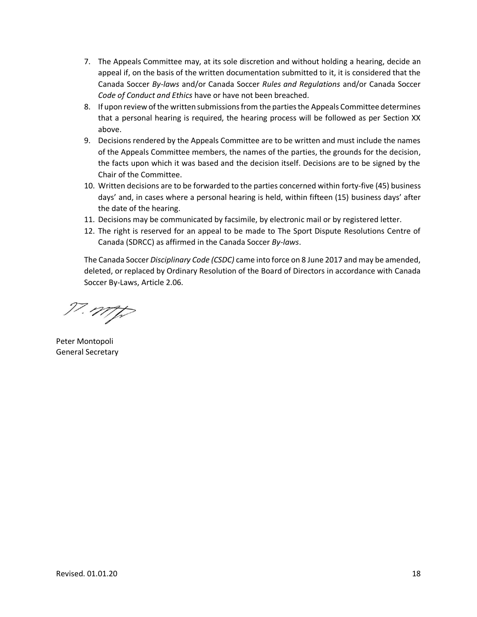- 7. The Appeals Committee may, at its sole discretion and without holding a hearing, decide an appeal if, on the basis of the written documentation submitted to it, it is considered that the Canada Soccer *By-laws* and/or Canada Soccer *Rules and Regulations* and/or Canada Soccer *Code of Conduct and Ethics* have or have not been breached.
- 8. If upon review of the written submissions from the parties the Appeals Committee determines that a personal hearing is required, the hearing process will be followed as per Section XX above.
- 9. Decisions rendered by the Appeals Committee are to be written and must include the names of the Appeals Committee members, the names of the parties, the grounds for the decision, the facts upon which it was based and the decision itself. Decisions are to be signed by the Chair of the Committee.
- 10. Written decisions are to be forwarded to the parties concerned within forty-five (45) business days' and, in cases where a personal hearing is held, within fifteen (15) business days' after the date of the hearing.
- 11. Decisions may be communicated by facsimile, by electronic mail or by registered letter.
- 12. The right is reserved for an appeal to be made to The Sport Dispute Resolutions Centre of Canada (SDRCC) as affirmed in the Canada Soccer *By-laws*.

The Canada Soccer *Disciplinary Code (CSDC)* came into force on 8 June 2017 and may be amended, deleted, or replaced by Ordinary Resolution of the Board of Directors in accordance with Canada Soccer By-Laws, Article 2.06.

17. mp

Peter Montopoli General Secretary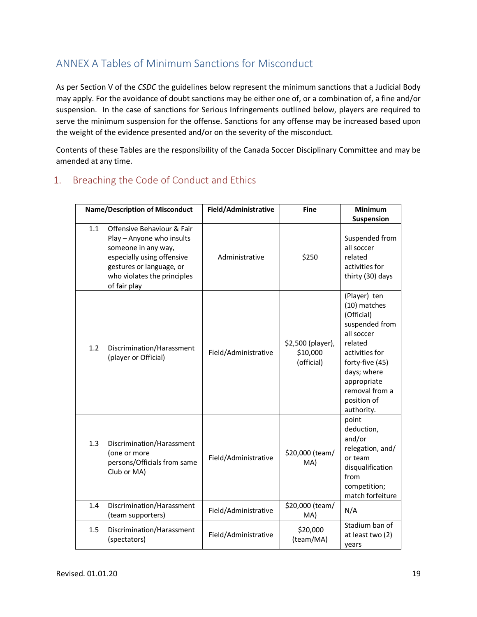## <span id="page-19-0"></span>ANNEX A Tables of Minimum Sanctions for Misconduct

As per Section V of the *CSDC* the guidelines below represent the minimum sanctions that a Judicial Body may apply. For the avoidance of doubt sanctions may be either one of, or a combination of, a fine and/or suspension. In the case of sanctions for Serious Infringements outlined below, players are required to serve the minimum suspension for the offense. Sanctions for any offense may be increased based upon the weight of the evidence presented and/or on the severity of the misconduct.

Contents of these Tables are the responsibility of the Canada Soccer Disciplinary Committee and may be amended at any time.

### <span id="page-19-1"></span>1. Breaching the Code of Conduct and Ethics

|     | <b>Name/Description of Misconduct</b>                                                                                                                                                   | Field/Administrative | <b>Fine</b>                                 | Minimum                                                                                                                                                                                                 |
|-----|-----------------------------------------------------------------------------------------------------------------------------------------------------------------------------------------|----------------------|---------------------------------------------|---------------------------------------------------------------------------------------------------------------------------------------------------------------------------------------------------------|
|     |                                                                                                                                                                                         |                      |                                             | Suspension                                                                                                                                                                                              |
| 1.1 | Offensive Behaviour & Fair<br>Play - Anyone who insults<br>someone in any way,<br>especially using offensive<br>gestures or language, or<br>who violates the principles<br>of fair play | Administrative       | \$250                                       | Suspended from<br>all soccer<br>related<br>activities for<br>thirty (30) days                                                                                                                           |
| 1.2 | Discrimination/Harassment<br>(player or Official)                                                                                                                                       | Field/Administrative | \$2,500 (player),<br>\$10,000<br>(official) | (Player) ten<br>(10) matches<br>(Official)<br>suspended from<br>all soccer<br>related<br>activities for<br>forty-five (45)<br>days; where<br>appropriate<br>removal from a<br>position of<br>authority. |
| 1.3 | Discrimination/Harassment<br>(one or more<br>persons/Officials from same<br>Club or MA)                                                                                                 | Field/Administrative | \$20,000 (team/<br>MA)                      | point<br>deduction,<br>and/or<br>relegation, and/<br>or team<br>disqualification<br>from<br>competition;<br>match forfeiture                                                                            |
| 1.4 | Discrimination/Harassment<br>(team supporters)                                                                                                                                          | Field/Administrative | \$20,000 (team/<br>MA)                      | N/A                                                                                                                                                                                                     |
| 1.5 | Discrimination/Harassment<br>(spectators)                                                                                                                                               | Field/Administrative | \$20,000<br>(team/MA)                       | Stadium ban of<br>at least two (2)<br>years                                                                                                                                                             |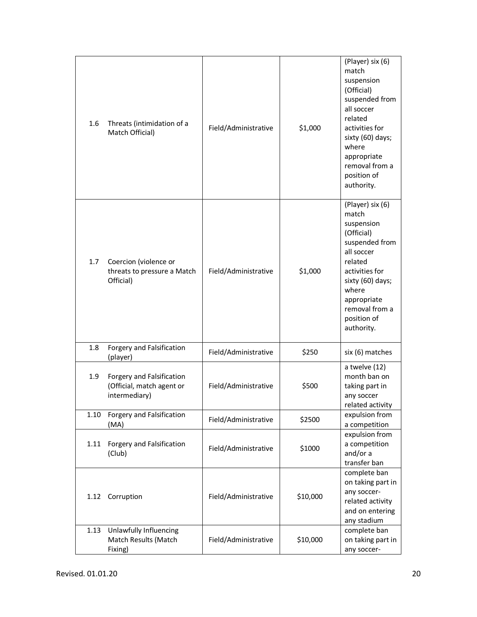| 1.6  | Threats (intimidation of a<br>Match Official)                           | Field/Administrative | \$1,000  | (Player) six (6)<br>match<br>suspension<br>(Official)<br>suspended from<br>all soccer<br>related<br>activities for<br>sixty (60) days;<br>where<br>appropriate<br>removal from a<br>position of<br>authority. |
|------|-------------------------------------------------------------------------|----------------------|----------|---------------------------------------------------------------------------------------------------------------------------------------------------------------------------------------------------------------|
| 1.7  | Coercion (violence or<br>threats to pressure a Match<br>Official)       | Field/Administrative | \$1,000  | (Player) six (6)<br>match<br>suspension<br>(Official)<br>suspended from<br>all soccer<br>related<br>activities for<br>sixty (60) days;<br>where<br>appropriate<br>removal from a<br>position of<br>authority. |
| 1.8  | Forgery and Falsification<br>(player)                                   | Field/Administrative | \$250    | six (6) matches                                                                                                                                                                                               |
| 1.9  | Forgery and Falsification<br>(Official, match agent or<br>intermediary) | Field/Administrative | \$500    | a twelve (12)<br>month ban on<br>taking part in<br>any soccer<br>related activity                                                                                                                             |
| 1.10 | Forgery and Falsification<br>(MA)                                       | Field/Administrative | \$2500   | expulsion from<br>a competition                                                                                                                                                                               |
| 1.11 | Forgery and Falsification<br>(Club)                                     | Field/Administrative | \$1000   | expulsion from<br>a competition<br>and/or a<br>transfer ban                                                                                                                                                   |
| 1.12 | Corruption                                                              | Field/Administrative | \$10,000 | complete ban<br>on taking part in<br>any soccer-<br>related activity<br>and on entering<br>any stadium                                                                                                        |
| 1.13 | Unlawfully Influencing<br>Match Results (Match<br>Fixing)               | Field/Administrative | \$10,000 | complete ban<br>on taking part in<br>any soccer-                                                                                                                                                              |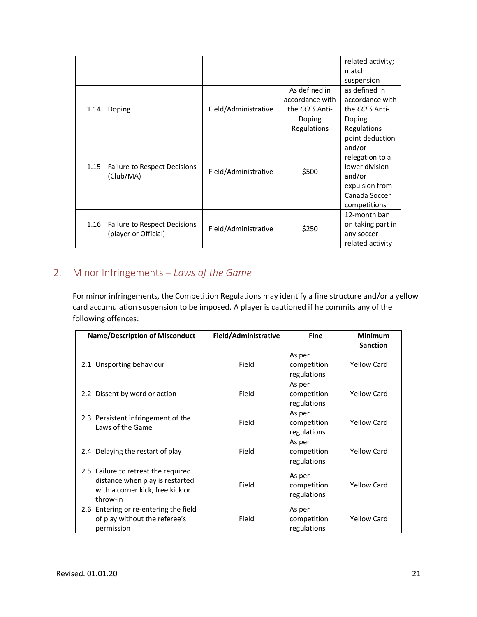|                                                              |                      |                 | related activity;                                                                                                           |
|--------------------------------------------------------------|----------------------|-----------------|-----------------------------------------------------------------------------------------------------------------------------|
|                                                              |                      |                 | match                                                                                                                       |
|                                                              |                      |                 | suspension                                                                                                                  |
|                                                              |                      | As defined in   | as defined in                                                                                                               |
|                                                              |                      | accordance with | accordance with                                                                                                             |
| 1.14<br>Doping                                               | Field/Administrative | the CCES Anti-  | the CCES Anti-                                                                                                              |
|                                                              |                      | Doping          | Doping                                                                                                                      |
|                                                              |                      | Regulations     | Regulations                                                                                                                 |
| 1.15<br>Failure to Respect Decisions<br>(Club/MA)            | Field/Administrative | \$500           | point deduction<br>and/or<br>relegation to a<br>lower division<br>and/or<br>expulsion from<br>Canada Soccer<br>competitions |
| 1.16<br>Failure to Respect Decisions<br>(player or Official) | Field/Administrative | \$250           | 12-month ban<br>on taking part in<br>any soccer-<br>related activity                                                        |

## <span id="page-21-0"></span>2. Minor Infringements – *Laws of the Game*

For minor infringements, the Competition Regulations may identify a fine structure and/or a yellow card accumulation suspension to be imposed. A player is cautioned if he commits any of the following offences:

| <b>Name/Description of Misconduct</b>                                                                                  | Field/Administrative | <b>Fine</b>                          | <b>Minimum</b>     |
|------------------------------------------------------------------------------------------------------------------------|----------------------|--------------------------------------|--------------------|
|                                                                                                                        |                      |                                      | <b>Sanction</b>    |
| 2.1 Unsporting behaviour                                                                                               | Field                | As per<br>competition<br>regulations | <b>Yellow Card</b> |
| 2.2 Dissent by word or action                                                                                          | Field                | As per<br>competition<br>regulations | Yellow Card        |
| 2.3 Persistent infringement of the<br>Laws of the Game                                                                 | Field                | As per<br>competition<br>regulations | <b>Yellow Card</b> |
| 2.4 Delaying the restart of play                                                                                       | Field                | As per<br>competition<br>regulations | Yellow Card        |
| 2.5 Failure to retreat the required<br>distance when play is restarted<br>with a corner kick, free kick or<br>throw-in | Field                | As per<br>competition<br>regulations | <b>Yellow Card</b> |
| 2.6 Entering or re-entering the field<br>of play without the referee's<br>permission                                   | Field                | As per<br>competition<br>regulations | <b>Yellow Card</b> |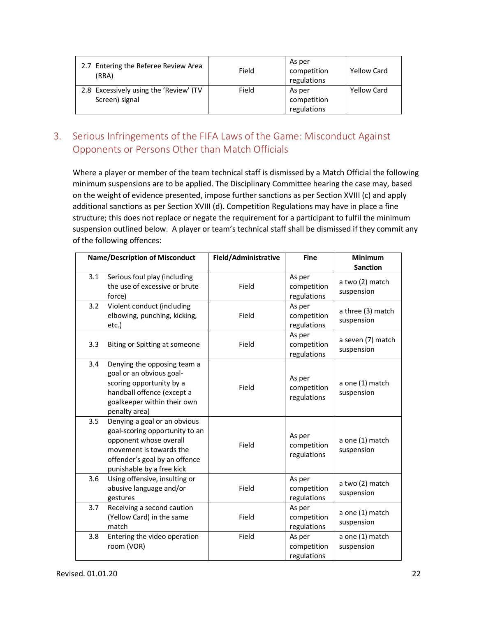| 2.7 Entering the Referee Review Area<br>(RRA)            | Field | As per<br>competition<br>regulations | <b>Yellow Card</b> |
|----------------------------------------------------------|-------|--------------------------------------|--------------------|
| 2.8 Excessively using the 'Review' (TV<br>Screen) signal | Field | As per<br>competition                | Yellow Card        |
|                                                          |       | regulations                          |                    |

### <span id="page-22-0"></span>3. Serious Infringements of the FIFA Laws of the Game: Misconduct Against Opponents or Persons Other than Match Officials

Where a player or member of the team technical staff is dismissed by a Match Official the following minimum suspensions are to be applied. The Disciplinary Committee hearing the case may, based on the weight of evidence presented, impose further sanctions as per Section XVIII (c) and apply additional sanctions as per Section XVIII (d). Competition Regulations may have in place a fine structure; this does not replace or negate the requirement for a participant to fulfil the minimum suspension outlined below. A player or team's technical staff shall be dismissed if they commit any of the following offences:

|     | <b>Name/Description of Misconduct</b>                                                                                                                                             | Field/Administrative | <b>Fine</b>                          | <b>Minimum</b><br><b>Sanction</b> |
|-----|-----------------------------------------------------------------------------------------------------------------------------------------------------------------------------------|----------------------|--------------------------------------|-----------------------------------|
| 3.1 | Serious foul play (including<br>the use of excessive or brute<br>force)                                                                                                           | Field                | As per<br>competition<br>regulations | a two (2) match<br>suspension     |
| 3.2 | Violent conduct (including<br>elbowing, punching, kicking,<br>etc.)                                                                                                               | Field                | As per<br>competition<br>regulations | a three (3) match<br>suspension   |
| 3.3 | Biting or Spitting at someone                                                                                                                                                     | Field                | As per<br>competition<br>regulations | a seven (7) match<br>suspension   |
| 3.4 | Denying the opposing team a<br>goal or an obvious goal-<br>scoring opportunity by a<br>handball offence (except a<br>goalkeeper within their own<br>penalty area)                 | Field                | As per<br>competition<br>regulations | a one (1) match<br>suspension     |
| 3.5 | Denying a goal or an obvious<br>goal-scoring opportunity to an<br>opponent whose overall<br>movement is towards the<br>offender's goal by an offence<br>punishable by a free kick | Field                | As per<br>competition<br>regulations | a one (1) match<br>suspension     |
| 3.6 | Using offensive, insulting or<br>abusive language and/or<br>gestures                                                                                                              | Field                | As per<br>competition<br>regulations | a two (2) match<br>suspension     |
| 3.7 | Receiving a second caution<br>(Yellow Card) in the same<br>match                                                                                                                  | Field                | As per<br>competition<br>regulations | a one (1) match<br>suspension     |
| 3.8 | Entering the video operation<br>room (VOR)                                                                                                                                        | Field                | As per<br>competition<br>regulations | a one (1) match<br>suspension     |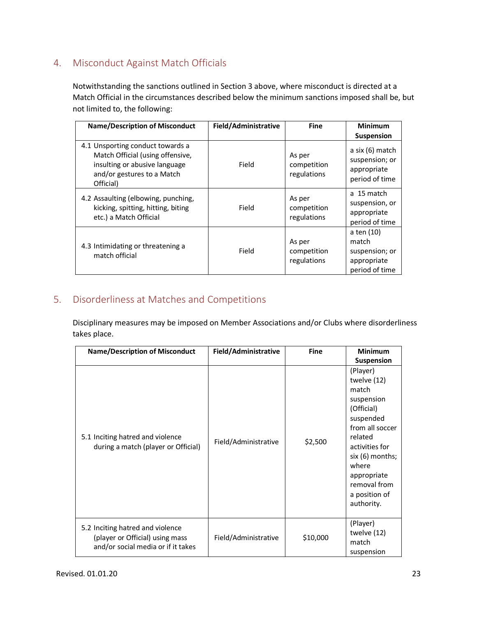### <span id="page-23-0"></span>4. Misconduct Against Match Officials

Notwithstanding the sanctions outlined in Section 3 above, where misconduct is directed at a Match Official in the circumstances described below the minimum sanctions imposed shall be, but not limited to, the following:

| <b>Name/Description of Misconduct</b>                                                                                                            | Field/Administrative | <b>Fine</b>                          | <b>Minimum</b>                                                         |
|--------------------------------------------------------------------------------------------------------------------------------------------------|----------------------|--------------------------------------|------------------------------------------------------------------------|
|                                                                                                                                                  |                      |                                      | <b>Suspension</b>                                                      |
| 4.1 Unsporting conduct towards a<br>Match Official (using offensive,<br>insulting or abusive language<br>and/or gestures to a Match<br>Official) | Field                | As per<br>competition<br>regulations | a six $(6)$ match<br>suspension; or<br>appropriate<br>period of time   |
| 4.2 Assaulting (elbowing, punching,<br>kicking, spitting, hitting, biting<br>etc.) a Match Official                                              | Field                | As per<br>competition<br>regulations | a 15 match<br>suspension, or<br>appropriate<br>period of time          |
| 4.3 Intimidating or threatening a<br>match official                                                                                              | Field                | As per<br>competition<br>regulations | a ten (10)<br>match<br>suspension; or<br>appropriate<br>period of time |

### <span id="page-23-1"></span>5. Disorderliness at Matches and Competitions

Disciplinary measures may be imposed on Member Associations and/or Clubs where disorderliness takes place.

| <b>Name/Description of Misconduct</b>                                                                     | Field/Administrative | <b>Fine</b> | <b>Minimum</b><br><b>Suspension</b>                                                                                                                                                                                  |
|-----------------------------------------------------------------------------------------------------------|----------------------|-------------|----------------------------------------------------------------------------------------------------------------------------------------------------------------------------------------------------------------------|
| 5.1 Inciting hatred and violence<br>during a match (player or Official)                                   | Field/Administrative | \$2,500     | (Player)<br>twelve (12)<br>match<br>suspension<br>(Official)<br>suspended<br>from all soccer<br>related<br>activities for<br>$six(6)$ months;<br>where<br>appropriate<br>removal from<br>a position of<br>authority. |
| 5.2 Inciting hatred and violence<br>(player or Official) using mass<br>and/or social media or if it takes | Field/Administrative | \$10,000    | (Player)<br>twelve (12)<br>match<br>suspension                                                                                                                                                                       |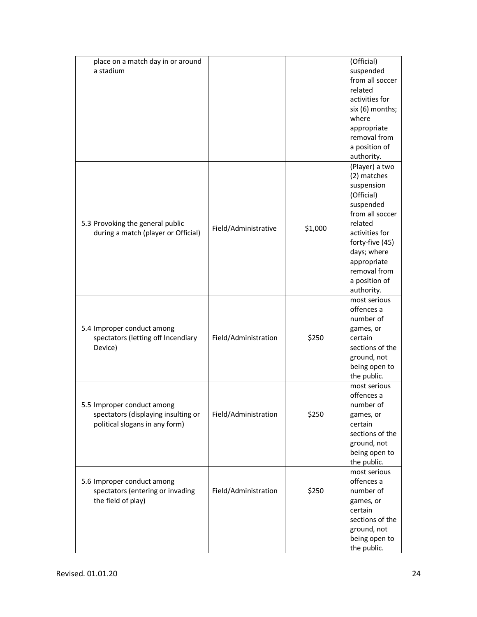| place on a match day in or around<br>a stadium                                                      |                      |         | (Official)<br>suspended<br>from all soccer<br>related<br>activities for<br>six (6) months;<br>where<br>appropriate<br>removal from<br>a position of<br>authority.                                                      |
|-----------------------------------------------------------------------------------------------------|----------------------|---------|------------------------------------------------------------------------------------------------------------------------------------------------------------------------------------------------------------------------|
| 5.3 Provoking the general public<br>during a match (player or Official)                             | Field/Administrative | \$1,000 | (Player) a two<br>(2) matches<br>suspension<br>(Official)<br>suspended<br>from all soccer<br>related<br>activities for<br>forty-five (45)<br>days; where<br>appropriate<br>removal from<br>a position of<br>authority. |
| 5.4 Improper conduct among<br>spectators (letting off Incendiary<br>Device)                         | Field/Administration | \$250   | most serious<br>offences a<br>number of<br>games, or<br>certain<br>sections of the<br>ground, not<br>being open to<br>the public.                                                                                      |
| 5.5 Improper conduct among<br>spectators (displaying insulting or<br>political slogans in any form) | Field/Administration | \$250   | most serious<br>offences a<br>number of<br>games, or<br>certain<br>sections of the<br>ground, not<br>being open to<br>the public.                                                                                      |
| 5.6 Improper conduct among<br>spectators (entering or invading<br>the field of play)                | Field/Administration | \$250   | most serious<br>offences a<br>number of<br>games, or<br>certain<br>sections of the<br>ground, not<br>being open to<br>the public.                                                                                      |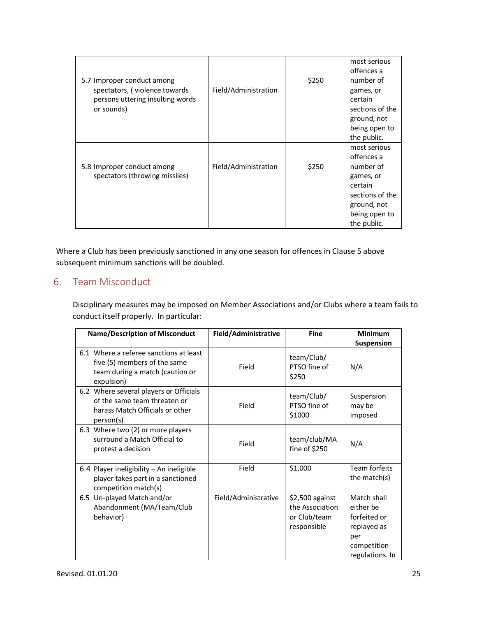|                                  |                      |       | most serious<br>offences a |
|----------------------------------|----------------------|-------|----------------------------|
| 5.7 Improper conduct among       |                      | \$250 | number of                  |
| spectators, (violence towards    | Field/Administration |       | games, or                  |
| persons uttering insulting words |                      |       | certain                    |
| or sounds)                       |                      |       | sections of the            |
|                                  |                      |       | ground, not                |
|                                  |                      |       | being open to              |
|                                  |                      |       | the public.                |
|                                  |                      |       | most serious               |
|                                  |                      |       | offences a                 |
| 5.8 Improper conduct among       | Field/Administration | \$250 | number of                  |
| spectators (throwing missiles)   |                      |       | games, or                  |
|                                  |                      |       | certain                    |
|                                  |                      |       | sections of the            |
|                                  |                      |       | ground, not                |
|                                  |                      |       | being open to              |
|                                  |                      |       | the public.                |

Where a Club has been previously sanctioned in any one season for offences in Clause 5 above subsequent minimum sanctions will be doubled.

### <span id="page-25-0"></span>6. Team Misconduct

Disciplinary measures may be imposed on Member Associations and/or Clubs where a team fails to conduct itself properly. In particular:

| <b>Name/Description of Misconduct</b> |                                                                                                                         | Field/Administrative | <b>Fine</b>                                                        | Minimum                                                                                          |
|---------------------------------------|-------------------------------------------------------------------------------------------------------------------------|----------------------|--------------------------------------------------------------------|--------------------------------------------------------------------------------------------------|
|                                       |                                                                                                                         |                      |                                                                    | <b>Suspension</b>                                                                                |
|                                       | 6.1 Where a referee sanctions at least<br>five (5) members of the same<br>team during a match (caution or<br>expulsion) | Field                | team/Club/<br>PTSO fine of<br>\$250                                | N/A                                                                                              |
|                                       | 6.2 Where several players or Officials<br>of the same team threaten or<br>harass Match Officials or other<br>person(s)  | Field                | team/Club/<br>PTSO fine of<br>\$1000                               | Suspension<br>may be<br>imposed                                                                  |
|                                       | 6.3 Where two (2) or more players<br>surround a Match Official to<br>protest a decision                                 | Field                | team/club/MA<br>fine of $$250$                                     | N/A                                                                                              |
|                                       | 6.4 Player ineligibility - An ineligible<br>player takes part in a sanctioned<br>competition match(s)                   | Field                | \$1,000                                                            | Team forfeits<br>the match(s)                                                                    |
|                                       | 6.5 Un-played Match and/or<br>Abandonment (MA/Team/Club<br>behavior)                                                    | Field/Administrative | $$2,500$ against<br>the Association<br>or Club/team<br>responsible | Match shall<br>either be<br>forfeited or<br>replayed as<br>per<br>competition<br>regulations. In |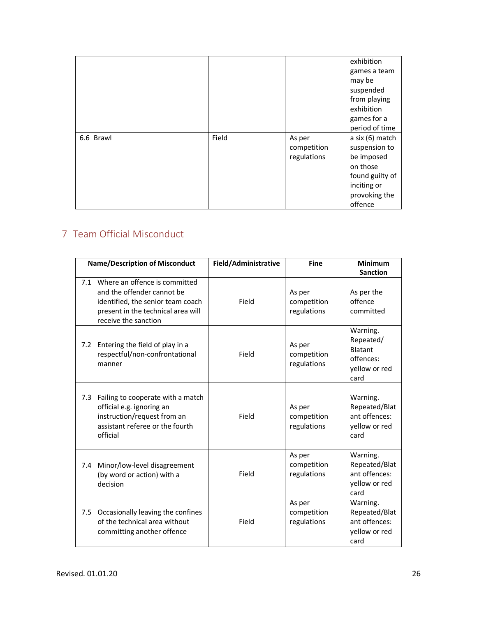|           |       |             | exhibition      |
|-----------|-------|-------------|-----------------|
|           |       |             | games a team    |
|           |       |             | may be          |
|           |       |             | suspended       |
|           |       |             | from playing    |
|           |       |             | exhibition      |
|           |       |             | games for a     |
|           |       |             | period of time  |
| 6.6 Brawl | Field | As per      | a six (6) match |
|           |       | competition | suspension to   |
|           |       | regulations | be imposed      |
|           |       |             | on those        |
|           |       |             | found guilty of |
|           |       |             | inciting or     |
|           |       |             | provoking the   |
|           |       |             | offence         |

### 7 Team Official Misconduct

| <b>Name/Description of Misconduct</b> |                                                                                                                                                                    | Field/Administrative | <b>Fine</b>                          | <b>Minimum</b><br><b>Sanction</b>                                             |
|---------------------------------------|--------------------------------------------------------------------------------------------------------------------------------------------------------------------|----------------------|--------------------------------------|-------------------------------------------------------------------------------|
|                                       | 7.1 Where an offence is committed<br>and the offender cannot be<br>identified, the senior team coach<br>present in the technical area will<br>receive the sanction | Field                | As per<br>competition<br>regulations | As per the<br>offence<br>committed                                            |
| 7.2                                   | Entering the field of play in a<br>respectful/non-confrontational<br>manner                                                                                        | Field                | As per<br>competition<br>regulations | Warning.<br>Repeated/<br><b>Blatant</b><br>offences:<br>yellow or red<br>card |
| 7.3                                   | Failing to cooperate with a match<br>official e.g. ignoring an<br>instruction/request from an<br>assistant referee or the fourth<br>official                       | Field                | As per<br>competition<br>regulations | Warning.<br>Repeated/Blat<br>ant offences:<br>yellow or red<br>card           |
| 7.4                                   | Minor/low-level disagreement<br>(by word or action) with a<br>decision                                                                                             | Field                | As per<br>competition<br>regulations | Warning.<br>Repeated/Blat<br>ant offences:<br>yellow or red<br>card           |
| 7.5                                   | Occasionally leaving the confines<br>of the technical area without<br>committing another offence                                                                   | Field                | As per<br>competition<br>regulations | Warning.<br>Repeated/Blat<br>ant offences:<br>yellow or red<br>card           |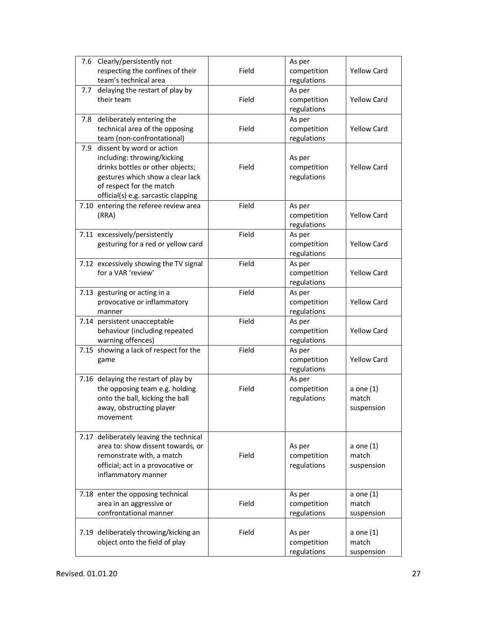| 7.6 | Clearly/persistently not<br>respecting the confines of their<br>team's technical area                                                                                                                   | Field | As per<br>competition<br>regulations | <b>Yellow Card</b>                 |
|-----|---------------------------------------------------------------------------------------------------------------------------------------------------------------------------------------------------------|-------|--------------------------------------|------------------------------------|
|     | 7.7 delaying the restart of play by<br>their team                                                                                                                                                       | Field | As per<br>competition<br>regulations | <b>Yellow Card</b>                 |
|     | 7.8 deliberately entering the<br>technical area of the opposing<br>team (non-confrontational)                                                                                                           | Field | As per<br>competition<br>regulations | <b>Yellow Card</b>                 |
|     | 7.9 dissent by word or action<br>including: throwing/kicking<br>drinks bottles or other objects;<br>gestures which show a clear lack<br>of respect for the match<br>official(s) e.g. sarcastic clapping | Field | As per<br>competition<br>regulations | <b>Yellow Card</b>                 |
|     | 7.10 entering the referee review area<br>(RRA)                                                                                                                                                          | Field | As per<br>competition<br>regulations | <b>Yellow Card</b>                 |
|     | 7.11 excessively/persistently<br>gesturing for a red or yellow card                                                                                                                                     | Field | As per<br>competition<br>regulations | <b>Yellow Card</b>                 |
|     | 7.12 excessively showing the TV signal<br>for a VAR 'review'                                                                                                                                            | Field | As per<br>competition<br>regulations | <b>Yellow Card</b>                 |
|     | 7.13 gesturing or acting in a<br>provocative or inflammatory<br>manner                                                                                                                                  | Field | As per<br>competition<br>regulations | <b>Yellow Card</b>                 |
|     | 7.14 persistent unacceptable<br>behaviour (including repeated<br>warning offences)                                                                                                                      | Field | As per<br>competition<br>regulations | <b>Yellow Card</b>                 |
|     | 7.15 showing a lack of respect for the<br>game                                                                                                                                                          | Field | As per<br>competition<br>regulations | <b>Yellow Card</b>                 |
|     | 7.16 delaying the restart of play by<br>the opposing team e.g. holding<br>onto the ball, kicking the ball<br>away, obstructing player<br>movement                                                       | Field | As per<br>competition<br>regulations | a one $(1)$<br>match<br>suspension |
|     | 7.17 deliberately leaving the technical<br>area to: show dissent towards, or<br>remonstrate with, a match<br>official; act in a provocative or<br>inflammatory manner                                   | Field | As per<br>competition<br>regulations | a one $(1)$<br>match<br>suspension |
|     | 7.18 enter the opposing technical<br>area in an aggressive or<br>confrontational manner                                                                                                                 | Field | As per<br>competition<br>regulations | a one $(1)$<br>match<br>suspension |
|     | 7.19 deliberately throwing/kicking an<br>object onto the field of play                                                                                                                                  | Field | As per<br>competition<br>regulations | a one $(1)$<br>match<br>suspension |